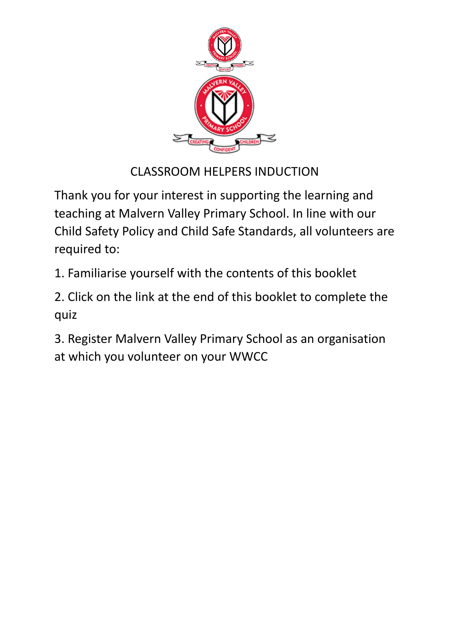

# CLASSROOM HELPERS INDUCTION

Thank you for your interest in supporting the learning and teaching at Malvern Valley Primary School. In line with our Child Safety Policy and Child Safe Standards, all volunteers are required to:

1. Familiarise yourself with the contents of this booklet

2. Click on the link at the end of this booklet to complete the quiz

3. Register Malvern Valley Primary School as an organisation at which you volunteer on your WWCC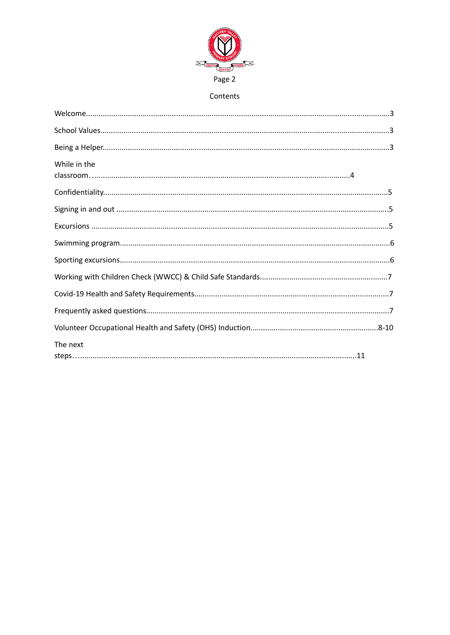

# Contents

| While in the |
|--------------|
|              |
|              |
|              |
|              |
|              |
|              |
|              |
|              |
|              |
| The next     |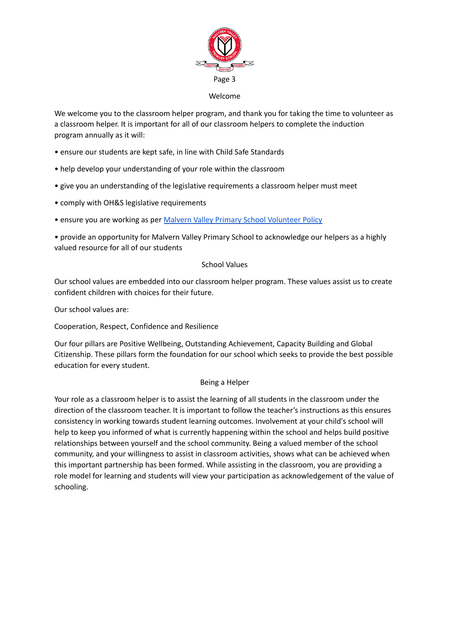

#### Welcome

We welcome you to the classroom helper program, and thank you for taking the time to volunteer as a classroom helper. It is important for all of our classroom helpers to complete the induction program annually as it will:

- ensure our students are kept safe, in line with Child Safe Standards
- help develop your understanding of your role within the classroom
- give you an understanding of the legislative requirements a classroom helper must meet
- comply with OH&S legislative requirements
- ensure you are working as per Malvern Valley Primary School [Volunteer](https://mvps.vic.edu.au/wp-content/uploads/2019/11/Volunteer-Policy-2019.pdf) Policy

• provide an opportunity for Malvern Valley Primary School to acknowledge our helpers as a highly valued resource for all of our students

## School Values

Our school values are embedded into our classroom helper program. These values assist us to create confident children with choices for their future.

Our school values are:

Cooperation, Respect, Confidence and Resilience

Our four pillars are Positive Wellbeing, Outstanding Achievement, Capacity Building and Global Citizenship. These pillars form the foundation for our school which seeks to provide the best possible education for every student.

## Being a Helper

Your role as a classroom helper is to assist the learning of all students in the classroom under the direction of the classroom teacher. It is important to follow the teacher's instructions as this ensures consistency in working towards student learning outcomes. Involvement at your child's school will help to keep you informed of what is currently happening within the school and helps build positive relationships between yourself and the school community. Being a valued member of the school community, and your willingness to assist in classroom activities, shows what can be achieved when this important partnership has been formed. While assisting in the classroom, you are providing a role model for learning and students will view your participation as acknowledgement of the value of schooling.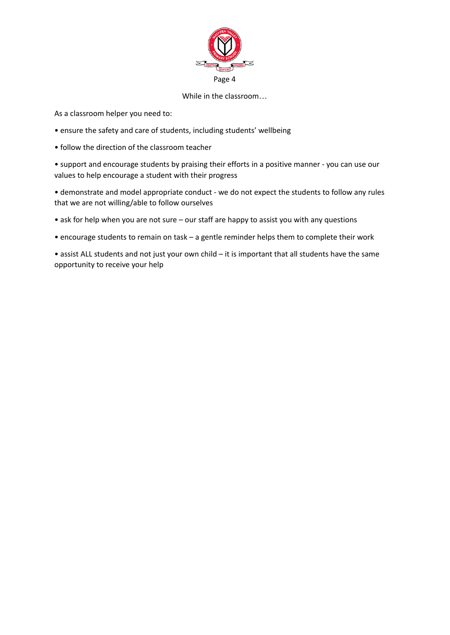

## While in the classroom…

As a classroom helper you need to:

- ensure the safety and care of students, including students' wellbeing
- follow the direction of the classroom teacher

• support and encourage students by praising their efforts in a positive manner - you can use our values to help encourage a student with their progress

• demonstrate and model appropriate conduct - we do not expect the students to follow any rules that we are not willing/able to follow ourselves

- ask for help when you are not sure our staff are happy to assist you with any questions
- encourage students to remain on task a gentle reminder helps them to complete their work

• assist ALL students and not just your own child – it is important that all students have the same opportunity to receive your help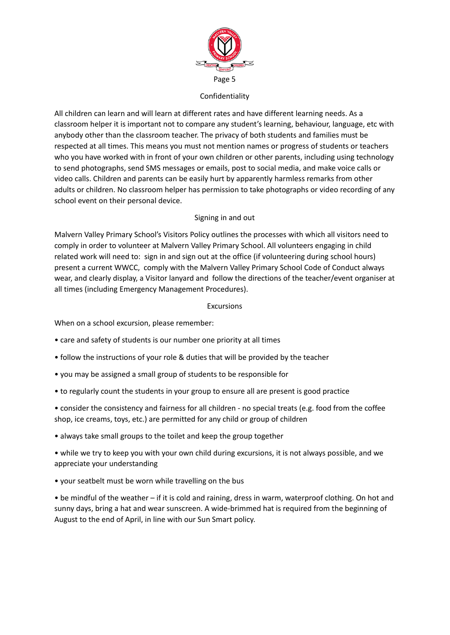

## Confidentiality

All children can learn and will learn at different rates and have different learning needs. As a classroom helper it is important not to compare any student's learning, behaviour, language, etc with anybody other than the classroom teacher. The privacy of both students and families must be respected at all times. This means you must not mention names or progress of students or teachers who you have worked with in front of your own children or other parents, including using technology to send photographs, send SMS messages or emails, post to social media, and make voice calls or video calls. Children and parents can be easily hurt by apparently harmless remarks from other adults or children. No classroom helper has permission to take photographs or video recording of any school event on their personal device.

## Signing in and out

Malvern Valley Primary School's Visitors Policy outlines the processes with which all visitors need to comply in order to volunteer at Malvern Valley Primary School. All volunteers engaging in child related work will need to: sign in and sign out at the office (if volunteering during school hours) present a current WWCC, comply with the Malvern Valley Primary School Code of Conduct always wear, and clearly display, a Visitor lanyard and follow the directions of the teacher/event organiser at all times (including Emergency Management Procedures).

## Excursions

When on a school excursion, please remember:

- care and safety of students is our number one priority at all times
- follow the instructions of your role & duties that will be provided by the teacher
- you may be assigned a small group of students to be responsible for
- to regularly count the students in your group to ensure all are present is good practice
- consider the consistency and fairness for all children no special treats (e.g. food from the coffee shop, ice creams, toys, etc.) are permitted for any child or group of children
- always take small groups to the toilet and keep the group together
- while we try to keep you with your own child during excursions, it is not always possible, and we appreciate your understanding
- your seatbelt must be worn while travelling on the bus

• be mindful of the weather – if it is cold and raining, dress in warm, waterproof clothing. On hot and sunny days, bring a hat and wear sunscreen. A wide-brimmed hat is required from the beginning of August to the end of April, in line with our Sun Smart policy.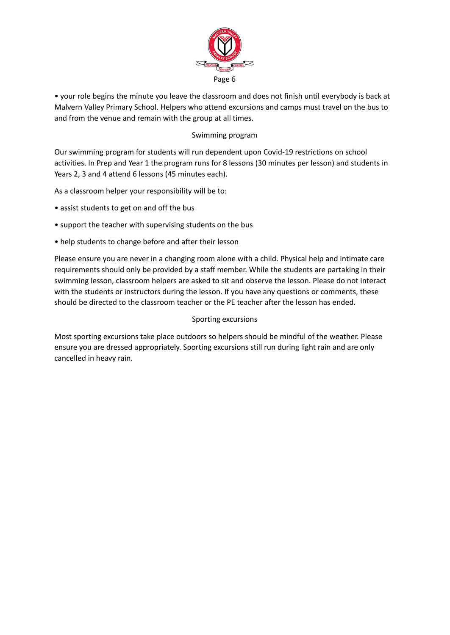

• your role begins the minute you leave the classroom and does not finish until everybody is back at Malvern Valley Primary School. Helpers who attend excursions and camps must travel on the bus to and from the venue and remain with the group at all times.

# Swimming program

Our swimming program for students will run dependent upon Covid-19 restrictions on school activities. In Prep and Year 1 the program runs for 8 lessons (30 minutes per lesson) and students in Years 2, 3 and 4 attend 6 lessons (45 minutes each).

As a classroom helper your responsibility will be to:

- assist students to get on and off the bus
- support the teacher with supervising students on the bus
- help students to change before and after their lesson

Please ensure you are never in a changing room alone with a child. Physical help and intimate care requirements should only be provided by a staff member. While the students are partaking in their swimming lesson, classroom helpers are asked to sit and observe the lesson. Please do not interact with the students or instructors during the lesson. If you have any questions or comments, these should be directed to the classroom teacher or the PE teacher after the lesson has ended.

## Sporting excursions

Most sporting excursions take place outdoors so helpers should be mindful of the weather. Please ensure you are dressed appropriately. Sporting excursions still run during light rain and are only cancelled in heavy rain.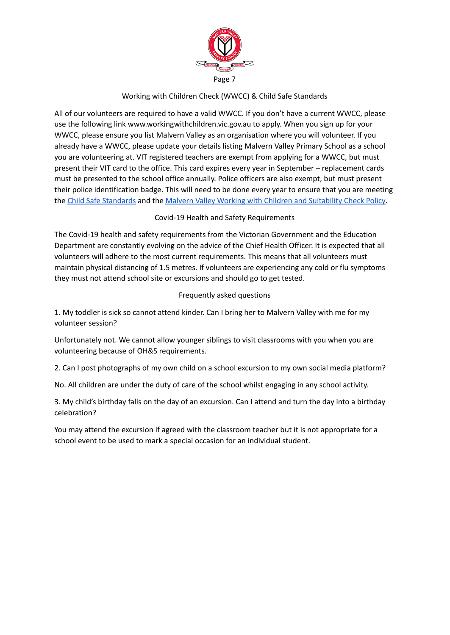

# Working with Children Check (WWCC) & Child Safe Standards

All of our volunteers are required to have a valid WWCC. If you don't have a current WWCC, please use the following link www.workingwithchildren.vic.gov.au to apply. When you sign up for your WWCC, please ensure you list Malvern Valley as an organisation where you will volunteer. If you already have a WWCC, please update your details listing Malvern Valley Primary School as a school you are volunteering at. VIT registered teachers are exempt from applying for a WWCC, but must present their VIT card to the office. This card expires every year in September – replacement cards must be presented to the school office annually. Police officers are also exempt, but must present their police identification badge. This will need to be done every year to ensure that you are meeting the Child Safe [Standards](https://www2.education.vic.gov.au/pal/child-safe-standards/policy) and the Malvern Valley Working with Children and [Suitability](https://mvps.vic.edu.au/wp-content/uploads/2019/11/Working-With-Children-Check-Policy-2018.pdf) Check Policy.

# Covid-19 Health and Safety Requirements

The Covid-19 health and safety requirements from the Victorian Government and the Education Department are constantly evolving on the advice of the Chief Health Officer. It is expected that all volunteers will adhere to the most current requirements. This means that all volunteers must maintain physical distancing of 1.5 metres. If volunteers are experiencing any cold or flu symptoms they must not attend school site or excursions and should go to get tested.

# Frequently asked questions

1. My toddler is sick so cannot attend kinder. Can I bring her to Malvern Valley with me for my volunteer session?

Unfortunately not. We cannot allow younger siblings to visit classrooms with you when you are volunteering because of OH&S requirements.

2. Can I post photographs of my own child on a school excursion to my own social media platform?

No. All children are under the duty of care of the school whilst engaging in any school activity.

3. My child's birthday falls on the day of an excursion. Can I attend and turn the day into a birthday celebration?

You may attend the excursion if agreed with the classroom teacher but it is not appropriate for a school event to be used to mark a special occasion for an individual student.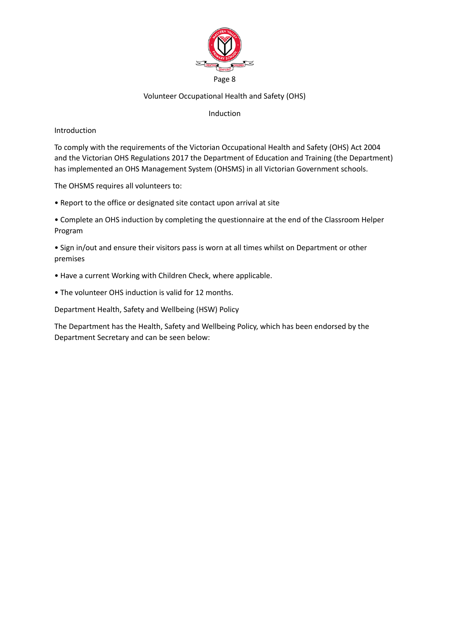

## Volunteer Occupational Health and Safety (OHS)

## Induction

Introduction

To comply with the requirements of the Victorian Occupational Health and Safety (OHS) Act 2004 and the Victorian OHS Regulations 2017 the Department of Education and Training (the Department) has implemented an OHS Management System (OHSMS) in all Victorian Government schools.

The OHSMS requires all volunteers to:

• Report to the office or designated site contact upon arrival at site

• Complete an OHS induction by completing the questionnaire at the end of the Classroom Helper Program

• Sign in/out and ensure their visitors pass is worn at all times whilst on Department or other premises

- Have a current Working with Children Check, where applicable.
- The volunteer OHS induction is valid for 12 months.

Department Health, Safety and Wellbeing (HSW) Policy

The Department has the Health, Safety and Wellbeing Policy, which has been endorsed by the Department Secretary and can be seen below: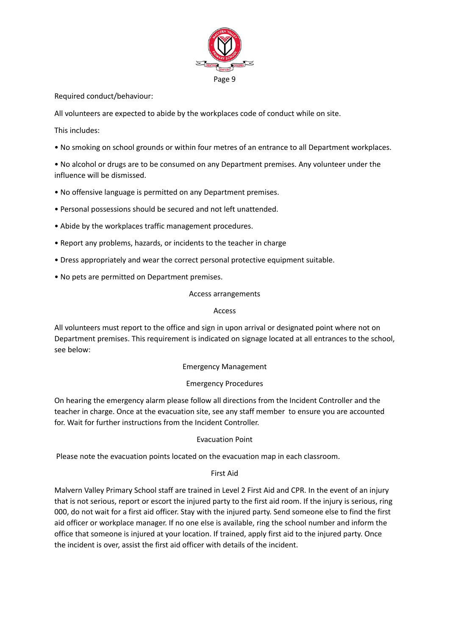

Required conduct/behaviour:

All volunteers are expected to abide by the workplaces code of conduct while on site.

This includes:

• No smoking on school grounds or within four metres of an entrance to all Department workplaces.

• No alcohol or drugs are to be consumed on any Department premises. Any volunteer under the influence will be dismissed.

- No offensive language is permitted on any Department premises.
- Personal possessions should be secured and not left unattended.
- Abide by the workplaces traffic management procedures.
- Report any problems, hazards, or incidents to the teacher in charge
- Dress appropriately and wear the correct personal protective equipment suitable.
- No pets are permitted on Department premises.

Access arrangements

## Access

All volunteers must report to the office and sign in upon arrival or designated point where not on Department premises. This requirement is indicated on signage located at all entrances to the school, see below:

## Emergency Management

## Emergency Procedures

On hearing the emergency alarm please follow all directions from the Incident Controller and the teacher in charge. Once at the evacuation site, see any staff member to ensure you are accounted for. Wait for further instructions from the Incident Controller.

## Evacuation Point

Please note the evacuation points located on the evacuation map in each classroom.

## First Aid

Malvern Valley Primary School staff are trained in Level 2 First Aid and CPR. In the event of an injury that is not serious, report or escort the injured party to the first aid room. If the injury is serious, ring 000, do not wait for a first aid officer. Stay with the injured party. Send someone else to find the first aid officer or workplace manager. If no one else is available, ring the school number and inform the office that someone is injured at your location. If trained, apply first aid to the injured party. Once the incident is over, assist the first aid officer with details of the incident.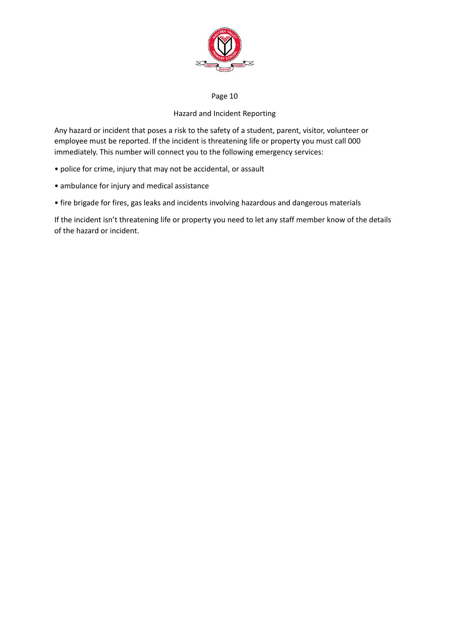

## Page 10

# Hazard and Incident Reporting

Any hazard or incident that poses a risk to the safety of a student, parent, visitor, volunteer or employee must be reported. If the incident is threatening life or property you must call 000 immediately. This number will connect you to the following emergency services:

- police for crime, injury that may not be accidental, or assault
- ambulance for injury and medical assistance
- fire brigade for fires, gas leaks and incidents involving hazardous and dangerous materials

If the incident isn't threatening life or property you need to let any staff member know of the details of the hazard or incident.